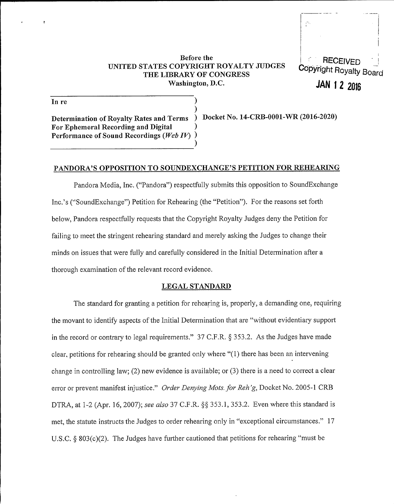#### Before the VNITED STATES COPYRIGHT ROYALTY JVDGES THE LIBRARY OF CONGRESS Washington, D.C.

)



JAN 1 2 2016

In re

) Determination of Royalty Rates and Terms ) Docket No. 14-CRB-0001-WR (2016-2020) For Ephemeral Recording and Digital ) Performance of Sound Recordings (Web  $IV$ ) )

### PANDORA'S OPPOSITION TO SOVNDEXCHANGE'S PETITION FOR REHEARING

Pandora Media, Inc. ("Pandora") respectfully submits this opposition to SoundExchange Inc.'s ("'SoundExchange") Petition for Rehearing (the "Petition"). For the reasons set forth below, Pandora respectfully requests that the Copyright Royalty Judges deny the Petition for failing to meet the stringent rehearing standard and merely asking the Judges to change their minds on issues that were fully and carefully considered in the Initial Determination after a thorough examination of the relevant record evidence.

#### LEGAL STANDARD

The standard for granting a petition for rehearing is, properly, a demanding one, requiring the movant to identify aspects of the Initial Determination that are "without evidentiary support in the record or contrary to legal requirements." 37 C.F.R. § 353.2. As the Judges have made clear, petitions for rehearing should be granted only where "(1) there has been an intervening change in controlling law; (2) new evidence is available; or  $(3)$  there is a need to correct a clear error or prevent manifest injustice." Order Denying Mots. for Reh'g, Docket No. 2005-1 CRB DTRA, at 1-2 (Apr. 16, 2007); see also 37 C.F.R.  $\S$  353.1, 353.2. Even where this standard is met, the statute instructs the Judges to order rehearing only in "exceptional circumstances." 17 U.S.C.  $\&$  803(c)(2). The Judges have further cautioned that petitions for rehearing "must be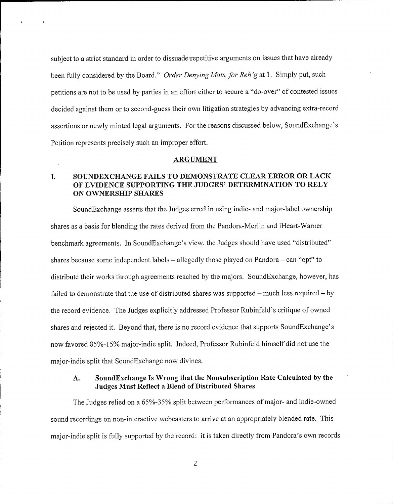subject to a strict standard in order to dissuade repetitive arguments on issues that have already been fully considered by the Board." Order Denying Mots. for Reh'g at 1. Simply put, such petitions are not to be used by parties in an effort either to secure a "do-over" of contested issues decided against them or to second-guess their own litigation strategies by advancing extra-record assertions or newly minted legal arguments. For the reasons discussed below, SoundExchange's Petition represents precisely such an improper effort.

#### ARGUMENT

### I. SOUNDEXCHANGE FAILS TO DEMONSTRATE CLEAR ERROR OR LACK OF EVIDENCE SUPPORTING THE JUDGES' DETERMINATION TO RELY ON OWNERSHIP SHARES

SoundExchange asserts that the Judges erred in using indie- and major-label ownership shares as a basis for blending the rates derived from the Pandora-Merlin and iHeart-Warner benchmark agreements. In SoundExchange's view, the Judges should have used "distributed" shares because some independent labels — allegedly those played on Pandora — can "opt" to distribute their works through agreements reached by the majors. SoundExchange, however, has failed to demonstrate that the use of distributed shares was supported — much less required — by the record evidence. The Judges explicitly addressed Professor Rubinfeld's critique of owned shares and rejected it. Beyond that, there is no record evidence that supports SoundExchange's now favored 85%-15% major-indie split. Indeed, Professor Rubinfeld himself did not use the major-indie split that SoundExchange now divines.

### A. SoundExchange Is Wrong that the Nonsubscription Rate Calculated by the Judges Must Reflect a Blend of Distributed Shares

The Judges relied on a 65%-35% split between performances of major- and indie-owned sound recordings on non-interactive webcasters to arrive at an appropriately blended rate. This major-indie split is fully supported by the record: it is taken directly from Pandora's own records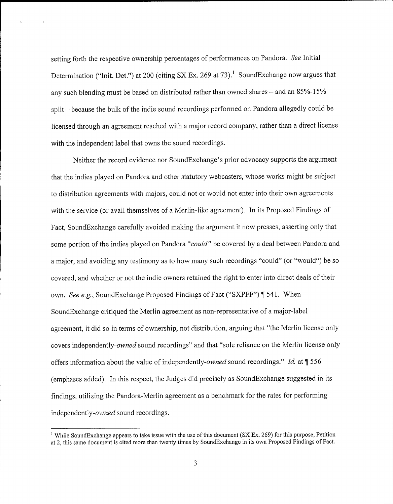setting forth the respective ownership percentages of performances on Pandora. See Initial Determination ("Init. Det.") at 200 (citing SX Ex. 269 at 73).<sup>1</sup> SoundExchange now argues that any such blending must be based on distributed rather than owned shares — and an 85%-15% split – because the bulk of the indie sound recordings performed on Pandora allegedly could be licensed through an agreement reached with a major record company, rather than a direct license with the independent label that owns the sound recordings.

Neither the record evidence nor SoundExchange's prior advocacy supports the argument that the indies played on Pandora and other statutory webcasters, whose works might be subject to distribution agreements with majors, could not or would not enter into their own agreements with the service (or avail themselves of a Merlin-like agreement), In its Proposed Findings of Fact, SoundExchange carefully avoided making the argument it now presses, asserting only that some portion of the indies played on Pandora "could" be covered by a deal between Pandora and a major, and avoiding any testimony as to how many such recordings "could" (or "would") be so covered, and whether or not the indie owners retained the right to enter into direct deals oftheir own. See e.g., SoundExchange Proposed Findings of Fact ("SXPFF") ¶ 541. When SoundExchange critiqued the Merlin agreement as non-representative of a major-label agreement, it did so in terms of ownership, not distribution, arguing that "the Merlin license only covers independently-owned sound recordings" and that "sole reliance on the Merlin license only offers information about the value of independently-owned sound recordings." Id. at 1556 (emphases added). In this respect, the Judges did precisely as SoundExchange suggested in its findings, utilizing the Pandora-Merlin agreement as a benchmark for the rates for performing independently-owned sound recordings.

<sup>&</sup>lt;sup>1</sup> While SoundExchange appears to take issue with the use of this document (SX Ex. 269) for this purpose, Petition at 2, this same document is cited more than twenty times by SoundExchange in its own Proposed Findings of Fact.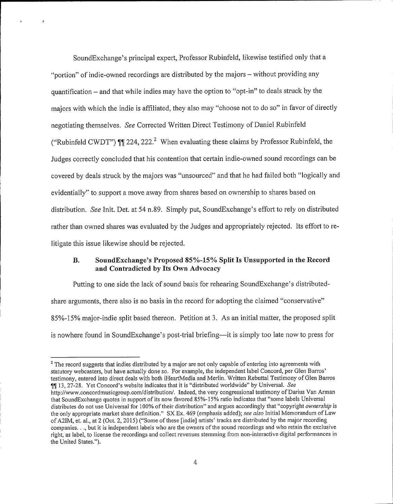SoundExchange's principal expert, Professor Rubinfeld, likewise testified only that a "portion'" of indie-owned recordings are distributed by the majors — without providing any quantification — and that while indies may have the option to "opt-in" to deals struck by the majors with which the indie is affiliated, they also may "choose not to do so" in favor of directly negotiating themselves. See Corrected Written Direct Testimony of Daniel Rubinfeld ("Rubinfeld CWDT")  $\mathbb{II}$  224, 222. When evaluating these claims by Professor Rubinfeld, the Judges correctly concluded that his contention that certain indie-owned sound recordings can be covered by deals struck by the majors was "unsourced" and that he had failed both "logically and evidentially" to support a move away from shares based on ownership to shares based on distribution. See Init. Det. at 54 n.89. Simply put, SoundExchange's effort to rely on distributed rather than owned shares was evaluated by the Judges and appropriately rejected. Its effort to relitigate this issue likewise should be rejected.

### 8. Sound Exchange's Proposed 85%-15% Split Is Unsupported in the Record and Contradicted by Its Own Advocacy

Putting to one side the lack of sound basis for rehearing SoundExchange's distributedshare arguments, there also is no basis in the record for adopting the claimed "conservative" 85%-15% major-indie split based thereon. Petition at 3. As an initial matter, the proposed split is nowhere found in SoundExchange's post-trial briefing—it is simply too late now to press for

<sup>&</sup>lt;sup>2</sup> The record suggests that indies distributed by a major are not only capable of entering into agreements with statutory webcasters, but have actually done so. For example, the independent label Concord, per Glen entered into direct deals with both iHeartMedia and Merlin. Written Rebuttal Testimony statutory webcasters, but have actually done so. For example, the independent label Concord, per Glen Barros'<br>testimony, entered into direct deals with both iHeartMedia and Merlin. Written Rebuttal Testimony of Glen Barros **11.** 13, 27-28. Yet Concord's website indicates that it is "distributed worldwide" by Universal. See http://www.concordmusicgroup.com/distribution/. Indeed, the very congressional testimony of Darius Van Arman distributes do not use Universal for 100% of their distribution" and argues accordingly that "copyright ownership is the only appropriate market share definition." SX Ex. 469 (emphasis added); see also Initial Memorandum of Law of A2IM, et. al., at 2 (Oct. 2, 2015) ("Some of these [indie] artists' tracks are distributed by the major recording companies..., but it is independent labels who are the owners of the sound recordings and who retain the exclusive right, as label, to license the recordings and collect revenues stemming from non-interactive digital performances in the United States.").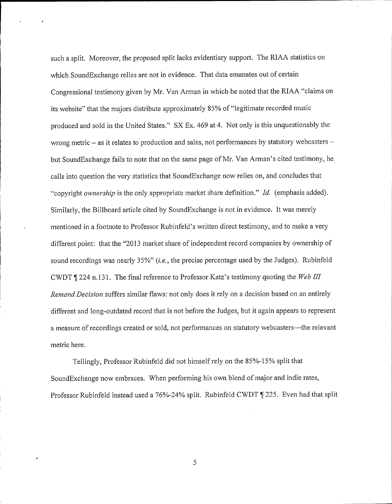such a split. Moreover, the proposed split lacks evidentiary support. The RIAA statistics on which SoundExchange relies are not in evidence. That data emanates out of certain Congressional testimony given by Mr. Van Arman in which he noted that the RIAA "claims on its website" that the majors distribute approximately 85% of "legitimate recorded music produced and sold in the United States." SX Ex. 469 at 4. Not only is this unquestionably the wrong metric  $-$  as it relates to production and sales, not performances by statutory webcasters  $$ but SoundExchange fails to note that on the same page of Mr. Van Arman's cited testimony, he calls into question the very statistics that SoundExchange now relies on, and concludes that "copyright *ownership* is the only appropriate market share definition." Id. (emphasis added). Similarly, the Billboard article cited by SoundExchange is not in evidence. lt was merely mentioned in a footnote to Professor Rubinfeld's written direct testimony, and to make a very different point: that the "2013 market share of independent record companies by ownership of sound recordings was nearly 35%" (*i.e.*, the precise percentage used by the Judges). Rubinfeld CWDT  $\parallel$  224 n.131. The final reference to Professor Katz's testimony quoting the Web III Remand Decision suffers similar flaws: not only does it rely on a decision based on an entirely different and long-outdated record that is not before the Judges, but it again appears to represent <sup>a</sup> measure of recordings created or sold, not performances on statutory webcasters—the relevant metric here.

Tellingly, Professor Rubinfeld did not himself rely on the 85%-15% split that SoundExchange now embraces. When performing his own blend of major and indie rates, Professor Rubinfeld instead used a 76%-24% split. Rubinfeld CWDT  $\parallel$  225. Even had that split

5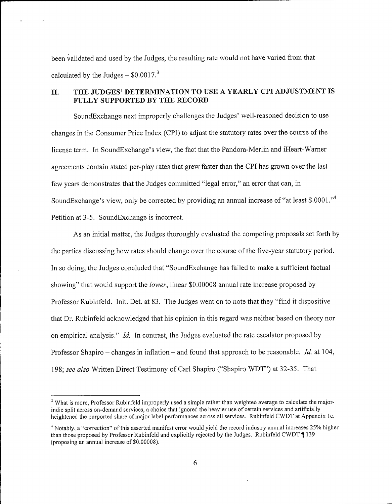been validated and used by the Judges, the resulting rate would not have varied from that calculated by the Judges  $-$  \$0.0017.<sup>3</sup>

## II. THE JUDGES' DETERMINATION TO USE A YEARLY CPI ADJUSTMENT IS FULLY SUPPORTED BY THE RECORD

SoundExchange next improperly challenges the Judges' well-reasoned decision to use changes in the Consumer Price Index (CPI) to adjust the statutory rates over the course of the license term. In SoundExchange's view, the fact that the Pandora-Merlin and iHeart-Warner agreements contain stated per-play rates that grew faster than the CPI has grown over the last few years demonstrates that the Judges committed "legal error," an error that can, in SoundExchange's view, only be corrected by providing an annual increase of "at least \$.0001."<sup>4</sup> Petition at 3-5. SoundExchange is incorrect.

As an initial matter, the Judges thoroughly evaluated the competing proposals set forth by the parties discussing how rates should change over the course of the five-year statutory period. In so doing, the Judges concluded that "SoundExchange has failed to make a sufficient factual showing" that would support the *lower*, linear \$0.00008 annual rate increase proposed by Professor Rubinfeld. Init. Det. at 83. The Judges went on to note that they "find it dispositive that Dr. Rubinfeld acknowledged that his opinion in this regard was neither based on theory nor on empirical analysis." Id. In contrast, the Judges evaluated the rate escalator proposed by Professor Shapiro – changes in inflation – and found that approach to be reasonable. Id. at 104, 198; see also Written Direct Testimony of Carl Shapiro ("Shapiro WDT") at 32-35. That

 $^3$  What is more, Professor Rubinfeld improperly used a simple rather than weighted average to calculate the majorindie split across on-demand services, a choice that ignored the heavier use of certain services and artificially heightened the purported share of major label performances across all services. Rubinfeld CWDT at Appendix 1e.

<sup>&</sup>lt;sup>4</sup> Notably, a "correction" of this asserted manifest error would yield the record industry annual increases 25% higher than those proposed by Professor Rubinfeld and explicitly rejected by the Judges. Rubinfeld CWDT  $\P$  139 (proposing an annual increase of \$0.00008).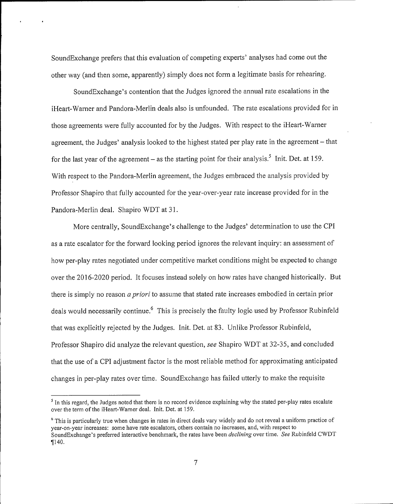SoundExchange prefers that this evaluation of competing experts' analyses had come out the other way (and then some, apparently) simply does not form a legitimate basis for rehearing.

SoundExchange's contention that the Judges ignored the annual rate escalations in the iHeart-Warner and Pandora-Merlin deals also is unfounded. The rate escalations provided for in those agreements were fully accounted for by the Judges. With respect to the iHeart-Warner agreement, the Judges' analysis looked to the highest stated per play rate in the agreement – that for the last year of the agreement – as the starting point for their analysis.<sup>5</sup> Init. Det. at 159. With respect to the Pandora-Merlin agreement, the Judges embraced the analysis provided by Professor Shapiro that fully accounted for the year-over-year rate increase provided for in the Pandora-Merlin deal. Shapiro WDT at 31.

More centrally, SoundExchange's challenge to the Judges' determination to use the CPI as a rate escalator for the forward looking period ignores the relevant inquiry; an assessment of how per-play rates negotiated under competitive market conditions might be expected to change over the 2016-2020 period. It focuses instead solely on how rates have changed historically, But there is simply no reason *a priori* to assume that stated rate increases embodied in certain prior deals would necessarily continue.<sup>6</sup> This is precisely the faulty logic used by Professor Rubinfeld that was explicitly rejected by the Judges. Init. Det. at 83. Unlike Professor Rubinfeld, Professor Shapiro did analyze the relevant question, see Shapiro WDT at 32-35, and concluded that the use of a CPI adjustment factor is the most reliable method for approximating anticipated changes in per-play rates over time. SoundExchange has failed utterly to make the requisite

 $<sup>5</sup>$  In this regard, the Judges noted that there is no record evidence explaining why the stated per-play rates escalate</sup> over the term of the iHeart-Warner deal. Init. Det. at 159.

 $\degree$  This is particularly true when changes in rates in direct deals vary widely and do not reveal a uniform practice of year-on-year increases: some have rate escalators, others contain no increases, and, with respect to SoundExchange's preferred interactive benchmark, the rates have been *declining* over time. See Rubinfeld CWDT  $\P 140.$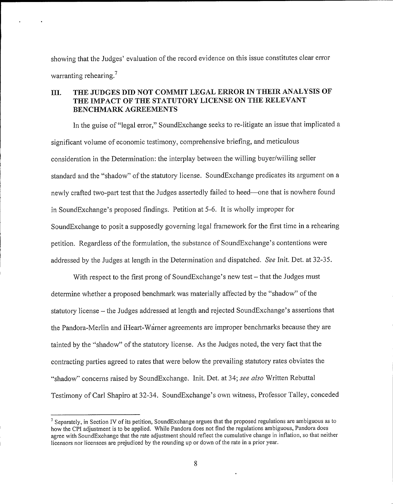showing that the Judges' evaluation of the record evidence on this issue constitutes clear error warranting rehearing.<sup>7</sup>

### III. THE JUDGES DID NOT COMMIT LEGAL ERROR IN THEIR ANALYSIS OF THE IMPACT OF THE STATUTORY LICENSE ON THE RELEVANT BENCHMARK AGREEMENTS

In the guise of "legal error," SoundExchange seeks to re-litigate an issue that implicated a significant volume of economic testimony, comprehensive briefing, and meticulous consideration in the Determination: the interplay between the willing buyer/willing seller standard and the "shadow" of the statutory license. SoundExchange predicates its argument on a newly crafted two-part test that the Judges assertedly failed to heed—one that is nowhere found in SoundExchange's proposed findings. Petition at 5-6. It is wholly improper for SoundExchange to posit a supposedly governing legal framework for the first time in a rehearing petition. Regardless of the formulation, the substance of SoundExchange's contentions were addressed by the Judges at length in the Determination and dispatched. See Init. Det. at 32-35.

With respect to the first prong of SoundExchange's new test – that the Judges must determine whether a proposed benchmark was materially affected by the "shadow" of the statutory license — the Judges addressed at length and rejected SoundExchange's assertions that the Pandora-Merlin and iHeart-Warner agreements are improper benchmarks because they are tainted by the "shadow" of the statutory license. As the Judges noted, the very fact that the contracting parties agreed to rates that were below the prevailing statutory rates obviates the "shadow" concerns raised by SoundExchange. Init. Det. at 34; see also Written Rebuttal Testimony of Carl Shapiro at 32-34. SoundExchange's own witness, Professor Talley, conceded

 $\frac{7}{1}$  Separately, in Section IV of its petition, SoundExchange argues that the proposed regulations are ambiguous as to how the CPI adjustment is to be applied. While Pandora does not find the regulations ambiguous, Pandora does agree with SoundExchange that the rate adjustment should reflect the cumulative change in inflation, so that neither licensors nor licensees are prejudiced by the rounding up or down of the rate in a prior year.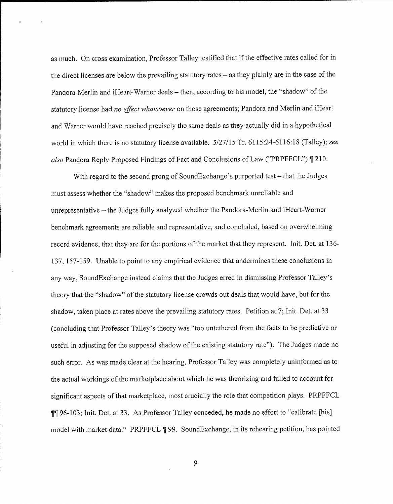as much. On cross examination, Professor Talley testified that if the effective rates called for in the direct licenses are below the prevailing statutory rates – as they plainly are in the case of the Pandora-Merlin and iHeart-Warner deals – then, according to his model, the "shadow" of the statutory license had *no effect whatsoever* on those agreements; Pandora and Merlin and iHeart and Warner would have reached precisely the same deals as they actually did in a hypothetical world in which there is no statutory license available. 5/27/15 Tr. 6115:24-6116:18 (Talley); see also Pandora Reply Proposed Findings of Fact and Conclusions of Law ("PRPFFCL") | 210.

With regard to the second prong of SoundExchange's purported test – that the Judges must assess whether the "shadow" makes the proposed benchmark unreliable and unrepresentative — the Judges fully analyzed whether the Pandora-Merlin and iHeart-Warner benchmark agreements are reliable and representative, and concluded, based on overwhelming record evidence, that they are for the portions of the market that they represent. Init. Det. at 136-137, 157-159. Unable to point to any empirical evidence that undermines these conclusions in any way, SoundExchange instead claims that the Judges erred in dismissing Professor Talley's theory that the "shadow" of the statutory license crowds out deals that would have, but for the shadow, taken place at rates above the prevailing statutory rates. Petition at 7; Init. Det. at 33 (concluding that Professor Talley's theory was "too untethered from the facts to be predictive or useful in adjusting for the supposed shadow of the existing statutory rate"). The Judges made no such error. As was made clear at the hearing, Professor Talley was completely uninformed as to the actual workings of the marketplace about which he was theorizing and failed to account for significant aspects ofthat marketplace, most crucially the role that competition plays. PRPFFCL **11** 96-103; Init. Det. at 33. As Professor Talley conceded, he made no effort to "calibrate [his] model with market data." PRPFFCL 199. SoundExchange, in its rehearing petition, has pointed

9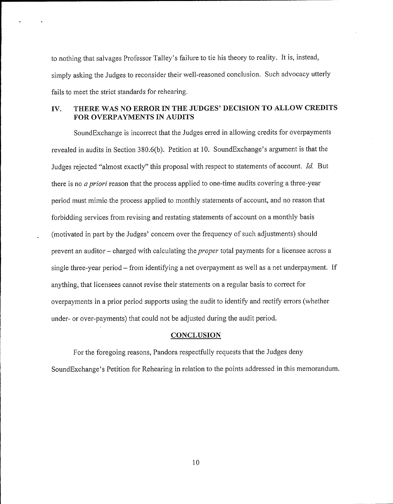to nothing that salvages Professor Talley's failure to tie his theory to reality. It is, instead, simply asking the Judges to reconsider their well-reasoned conclusion. Such advocacy utterly fails to meet the strict standards for rehearing.

## IV. THERE WAS NO ERROR IN THE JUDGES' DECISION TO ALLOW CREDITS FOR OVERPAYMENTS IN AUDITS

SoundExchange is incorrect that the Judges erred in allowing credits for overpayments revealed in audits in Section 380.6(b). Petition at 10. SoundExchange's argument is that the Judges rejected "almost exactly" this proposal with respect to statements of account. Id. But there is no *a priori* reason that the process applied to one-time audits covering a three-year period must mimic the process applied to monthly statements of account, and no reason that forbidding services from revising and restating statements of account on a monthly basis (motivated in part by the Judges' concern over the frequency of such adjustments) should prevent an auditor – charged with calculating the *proper* total payments for a licensee across a single three-year period — from identifying a net overpayment as well as a net underpayment. If anything, that licensees cannot revise their statements on a regular basis to correct for overpayments in a prior period supports using the audit to identify and rectify errors (whether under- or over-payments) that could not be adjusted during the audit period.

 $\overline{a}$ 

#### **CONCLUSION**

For the foregoing reasons, Pandora respectfully requests that the Judges deny SoundExchange's Petition for Rehearing in relation to the points addressed in this memorandum.

10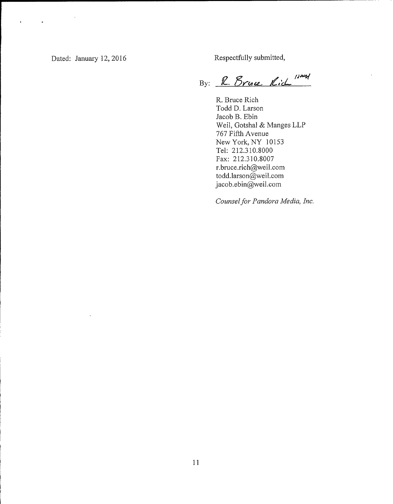$\ddot{\bullet}$ 

ä,

Dated: January 12, 2016 Respectfully submitted,

/)~ <u>rnu K</u>

R. Bruce Rich Todd D. Larson Jacob B. Ebin Weil, Gotshal & Manges LLP 767 Fifth Avenue New York, NY 10153 Tel: 212.310.8000 Fax: 212.310.8007 r.bruce.rich@weil.corn todd.larson@weil.com jacob.ebin@weil.com

Counsel for Pandora Media, Inc.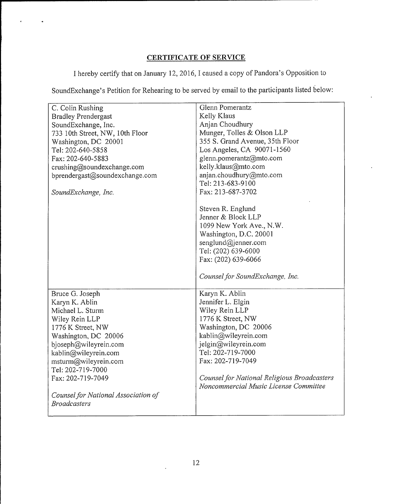# CERTIFICATE OF SERVICE

<sup>I</sup> hereby certify that on January 12, 2016, I caused a copy of Pandora's Opposition to

SoundExchange's Petition for Rehearing to be served by email to the participants listed below:

| C. Colin Rushing                    | Glenn Pomerantz                             |
|-------------------------------------|---------------------------------------------|
| <b>Bradley Prendergast</b>          | Kelly Klaus                                 |
| SoundExchange, Inc.                 | Anjan Choudhury                             |
| 733 10th Street, NW, 10th Floor     | Munger, Tolles & Olson LLP                  |
| Washington, DC 20001                | 355 S. Grand Avenue, 35th Floor             |
| Tel: 202-640-5858                   | Los Angeles, CA 90071-1560                  |
| Fax: 202-640-5883                   | glenn.pomerantz@mto.com                     |
| crushing@soundexchange.com          | kelly.klaus@mto.com                         |
| bprendergast@soundexchange.com      | anjan.choudhury@mto.com                     |
|                                     | Tel: 213-683-9100                           |
| SoundExchange, Inc.                 | Fax: 213-687-3702                           |
|                                     |                                             |
|                                     | Steven R. Englund                           |
|                                     | Jenner & Block LLP                          |
|                                     | 1099 New York Ave., N.W.                    |
|                                     | Washington, D.C. 20001                      |
|                                     | senglund@jenner.com                         |
|                                     | Tel: (202) 639-6000                         |
|                                     | Fax: (202) 639-6066                         |
|                                     | Counsel for SoundExchange, Inc.             |
| Bruce G. Joseph                     | Karyn K. Ablin                              |
| Karyn K. Ablin                      | Jennifer L. Elgin                           |
| Michael L. Sturm                    | Wiley Rein LLP                              |
| Wiley Rein LLP                      | 1776 K Street, NW                           |
| 1776 K Street, NW                   | Washington, DC 20006                        |
| Washington, DC 20006                | kablin@wileyrein.com                        |
| bjoseph@wileyrein.com               | jelgin@wileyrein.com                        |
| kablin@wileyrein.com                | Tel: 202-719-7000                           |
| msturm@wileyrein.com                | Fax: 202-719-7049                           |
| Tel: 202-719-7000                   |                                             |
| Fax: 202-719-7049                   | Counsel for National Religious Broadcasters |
|                                     | Noncommercial Music License Committee       |
| Counsel for National Association of |                                             |
| <b>Broadcasters</b>                 |                                             |
|                                     |                                             |

 $\overline{\phantom{a}}$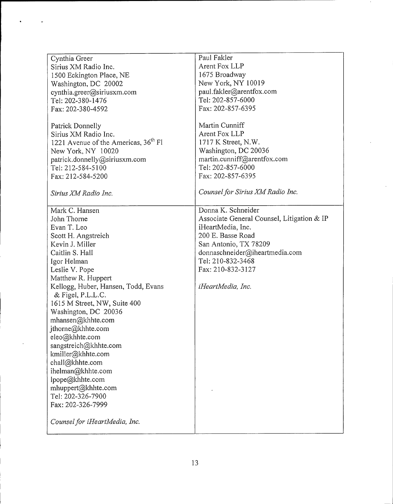| Cynthia Greer                                    | Paul Fakler                                |
|--------------------------------------------------|--------------------------------------------|
| Sirius XM Radio Inc.                             | Arent Fox LLP                              |
| 1500 Eckington Place, NE                         | 1675 Broadway                              |
|                                                  | New York, NY 10019                         |
| Washington, DC 20002                             |                                            |
| cynthia.greer@siriusxm.com                       | paul.fakler@arentfox.com                   |
| Tel: 202-380-1476                                | Tel: 202-857-6000                          |
| Fax: 202-380-4592                                | Fax: 202-857-6395                          |
|                                                  |                                            |
| Patrick Donnelly                                 | Martin Cunniff                             |
| Sirius XM Radio Inc.                             | Arent Fox LLP                              |
| 1221 Avenue of the Americas, 36 <sup>th</sup> Fl | 1717 K Street, N.W.                        |
| New York, NY 10020                               | Washington, DC 20036                       |
| patrick.donnelly@siriusxm.com                    | martin.cunniff@arentfox.com                |
| Tel: 212-584-5100                                | Tel: 202-857-6000                          |
| Fax: 212-584-5200                                | Fax: 202-857-6395                          |
|                                                  | Counsel for Sirius XM Radio Inc.           |
| Sirius XM Radio Inc.                             |                                            |
| Mark C. Hansen                                   | Donna K. Schneider                         |
| John Thorne                                      | Associate General Counsel, Litigation & IP |
| Evan T. Leo                                      | iHeartMedia, Inc.                          |
| Scott H. Angstreich                              | 200 E. Basse Road                          |
| Kevin J. Miller                                  | San Antonio, TX 78209                      |
| Caitlin S. Hall                                  | donnaschneider@iheartmedia.com             |
|                                                  | Tel: 210-832-3468                          |
| Igor Helman                                      |                                            |
| Leslie V. Pope                                   | Fax: 210-832-3127                          |
| Matthew R. Huppert                               |                                            |
| Kellogg, Huber, Hansen, Todd, Evans              | iHeartMedia, Inc.                          |
| & Figel, P.L.L.C.                                |                                            |
| 1615 M Street, NW, Suite 400                     |                                            |
| Washington, DC 20036                             |                                            |
| mhansen@khhte.com                                |                                            |
| jthorne@khhte.com                                |                                            |
| eleo@khhte.com                                   |                                            |
| sangstreich@khhte.com                            |                                            |
| kmiller@khhte.com                                |                                            |
| chall@khhte.com                                  |                                            |
| ihelman@khhte.com                                |                                            |
| lpope@khhte.com                                  |                                            |
| mhuppert@khhte.com                               |                                            |
| Tel: 202-326-7900                                |                                            |
| Fax: 202-326-7999                                |                                            |
|                                                  |                                            |
| Counsel for iHeartMedia, Inc.                    |                                            |
|                                                  |                                            |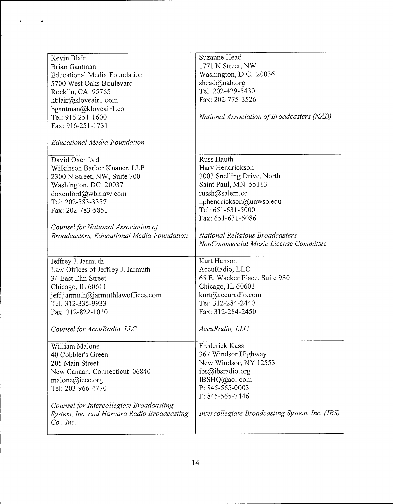| Kevin Blair                                       | Suzanne Head                                    |
|---------------------------------------------------|-------------------------------------------------|
| Brian Gantman                                     | 1771 N Street, NW                               |
| <b>Educational Media Foundation</b>               | Washington, D.C. 20036                          |
| 5700 West Oaks Boulevard                          | shead@nab.org                                   |
| Rocklin, CA 95765                                 | Tel: 202-429-5430                               |
|                                                   | Fax: 202-775-3526                               |
| kblair@kloveair1.com                              |                                                 |
| bgantman@kloveair1.com                            |                                                 |
| Tel: 916-251-1600                                 | National Association of Broadcasters (NAB)      |
| Fax: 916-251-1731                                 |                                                 |
| <b>Educational Media Foundation</b>               |                                                 |
| David Oxenford                                    | Russ Hauth                                      |
| Wilkinson Barker Knauer, LLP                      | Harv Hendrickson                                |
| 2300 N Street, NW, Suite 700                      | 3003 Snelling Drive, North                      |
| Washington, DC 20037                              | Saint Paul, MN 55113                            |
| doxenford@wbklaw.com                              | russh@salem.cc                                  |
| Tel: 202-383-3337                                 | hphendrickson@unwsp.edu                         |
| Fax: 202-783-5851                                 | Tel: 651-631-5000                               |
|                                                   | Fax: 651-631-5086                               |
|                                                   |                                                 |
| Counsel for National Association of               |                                                 |
| <b>Broadcasters, Educational Media Foundation</b> | National Religious Broadcasters                 |
|                                                   | NonCommercial Music License Committee           |
| Jeffrey J. Jarmuth                                | Kurt Hanson                                     |
| Law Offices of Jeffrey J. Jarmuth                 | AccuRadio, LLC                                  |
| 34 East Elm Street                                | 65 E. Wacker Place, Suite 930                   |
|                                                   |                                                 |
| Chicago, IL 60611                                 | Chicago, IL 60601                               |
| jeff.jarmuth@jarmuthlawoffices.com                | kurt@accuradio.com                              |
| Tel: 312-335-9933                                 | Tel: 312-284-2440                               |
| Fax: 312-822-1010                                 | Fax: 312-284-2450                               |
| Counsel for AccuRadio, LLC                        | AccuRadio, LLC                                  |
| William Malone                                    | Frederick Kass                                  |
| 40 Cobbler's Green                                | 367 Windsor Highway                             |
| 205 Main Street                                   | New Windsor, NY 12553                           |
| New Canaan, Connecticut 06840                     | ibs@ibsradio.org                                |
| malone@ieee.org                                   | IBSHQ@aol.com                                   |
| Tel: 203-966-4770                                 | P: 845-565-0003                                 |
|                                                   | F: 845-565-7446                                 |
|                                                   |                                                 |
| Counsel for Intercollegiate Broadcasting          | Intercollegiate Broadcasting System, Inc. (IBS) |
| System, Inc. and Harvard Radio Broadcasting       |                                                 |
| $Co.$ , Inc.                                      |                                                 |
|                                                   |                                                 |